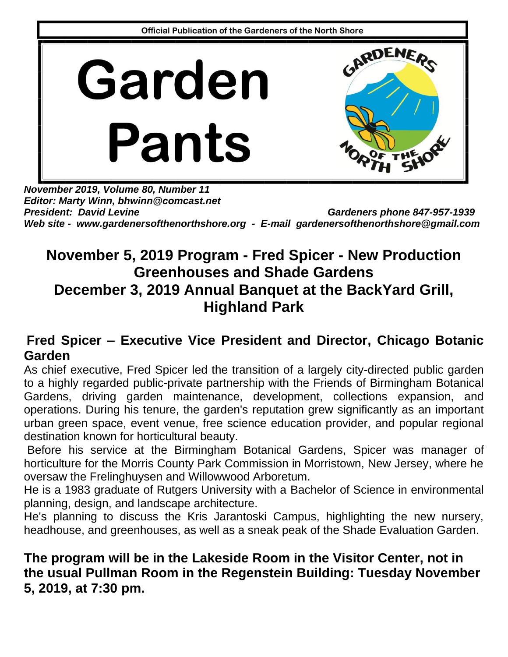

*November 2019, Volume 80, Number 11 Editor: Marty Winn, bhwinn@comcast.net* President: David Levine Gardeners phone 847-957-1939 *Web site - [www.gardenersofthenorthshore.org](http://www.gardenersofthenorthshore.org/) - E-mail [gardenersofthenorthshore@gmail.com](mailto:gardenersofthenorthshore@gmail.com)*

## **November 5, 2019 Program - Fred Spicer - New Production Greenhouses and Shade Gardens December 3, 2019 Annual Banquet at the BackYard Grill, Highland Park**

#### **Fred Spicer – Executive Vice President and Director, Chicago Botanic Garden**

As chief executive, Fred Spicer led the transition of a largely city-directed public garden to a highly regarded public-private partnership with the Friends of Birmingham Botanical Gardens, driving garden maintenance, development, collections expansion, and operations. During his tenure, the garden's reputation grew significantly as an important urban green space, event venue, free science education provider, and popular regional destination known for horticultural beauty.

Before his service at the Birmingham Botanical Gardens, Spicer was manager of horticulture for the Morris County Park Commission in Morristown, New Jersey, where he oversaw the Frelinghuysen and Willowwood Arboretum.

He is a 1983 graduate of Rutgers University with a Bachelor of Science in environmental planning, design, and landscape architecture.

He's planning to discuss the Kris Jarantoski Campus, highlighting the new nursery, headhouse, and greenhouses, as well as a sneak peak of the Shade Evaluation Garden.

#### **The program will be in the Lakeside Room in the Visitor Center, not in the usual Pullman Room in the Regenstein Building: Tuesday November 5, 2019, at 7:30 pm.**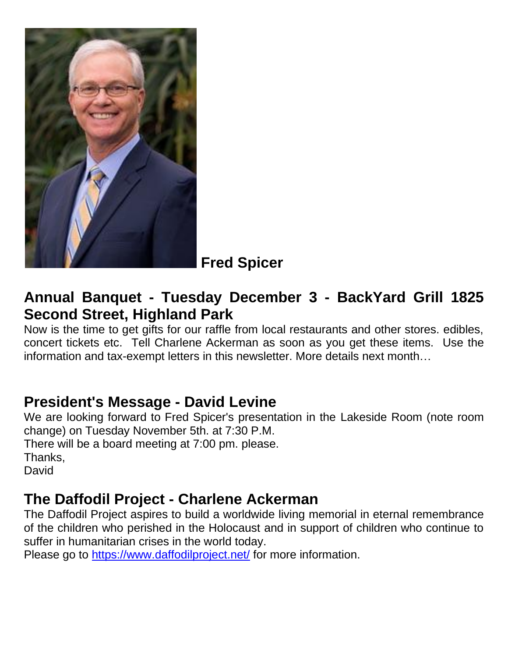

**Fred Spicer**

### **Annual Banquet - Tuesday December 3 - BackYard Grill 1825 Second Street, Highland Park**

Now is the time to get gifts for our raffle from local restaurants and other stores. edibles, concert tickets etc. Tell Charlene Ackerman as soon as you get these items. Use the information and tax-exempt letters in this newsletter. More details next month…

### **President's Message - David Levine**

We are looking forward to Fred Spicer's presentation in the Lakeside Room (note room change) on Tuesday November 5th. at 7:30 P.M. There will be a board meeting at 7:00 pm. please. Thanks, David

#### **The Daffodil Project - Charlene Ackerman**

The Daffodil Project aspires to build a worldwide living memorial in eternal remembrance of the children who perished in the Holocaust and in support of children who continue to suffer in humanitarian crises in the world today.

Please go to<https://www.daffodilproject.net/> for more information.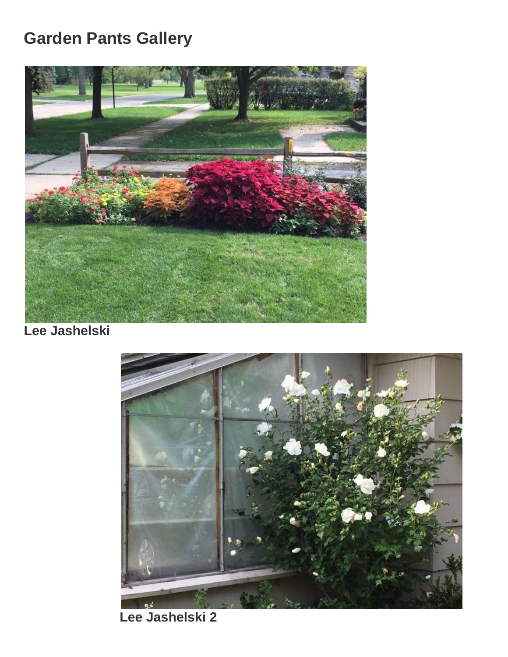# **Garden Pants Gallery**



**Lee Jashelski**



 **Lee Jashelski 2**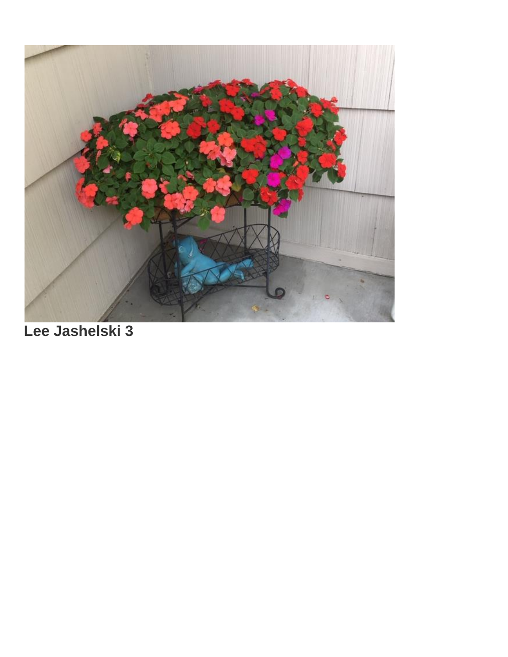

**Lee Jashelski 3**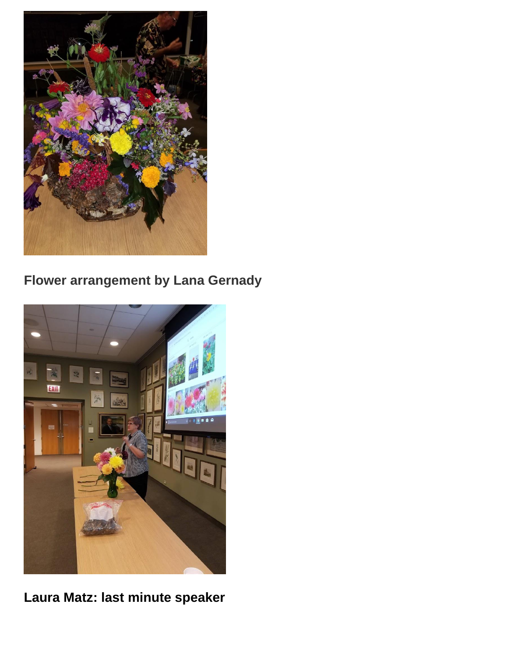

# **Flower arrangement by Lana Gernady**



**Laura Matz: last minute speaker**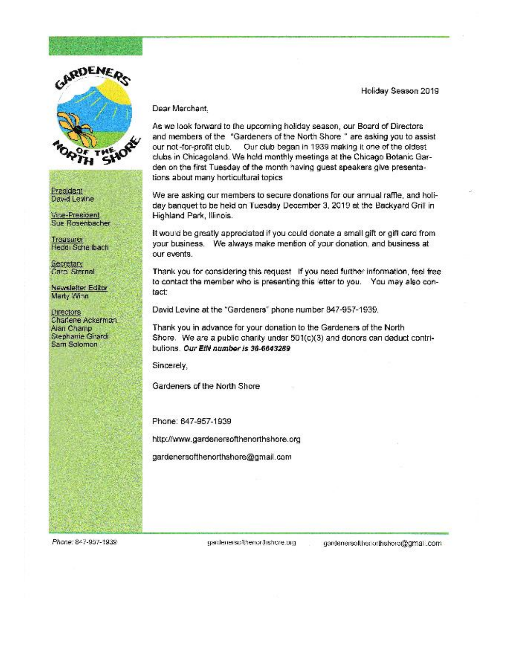

**President** Dav-d Levine

Vice-President Sue Rosenbacher

Treasurer Heddi Sche Ibach

Secretary Caro, Sternal

Newsletter Editor Marty Winn

**Directors** Charlene Ackerman. Alan Champ Stephanie Girardi Sam Solomon

#### Dear Merchant.

As we look forward to the upcoming holiday season, our Board of Directors and members of the "Gardeners of the North Shore" are asking you to assist our not-for-profit club. Our club began in 1939 making it one of the oldest clubs in Chicagoland. We hold monthly meetings at the Chicago Botanic Garden on the first Tuesday of the month having guest speakers give presentations about many horticultural topics

We are asking our members to secure donations for our annual raffle, and holiday banquet to be held on Tuesday December 3, 2019 at the Backyard Grill in Highland Park, Illinois.

It would be greatly appreciated if you could donate a small gift or gift card from your business. We always make mention of your donation, and business at our events.

Thank you for considering this request If you need further information, feel free to contact the member who is presenting this letter to you. You may also contact:

David Levine at the "Gardeners" phone number 347-957-1939.

Thank you in advance for your donation to the Gardeners of the North Shore. We are a public charity under 501(c)(3) and donors can deduct contributions. Our EIN number is 36-6643289

Sincerely.

Gardeners of the North Shore

Phone: 647-957-1939

http://www.gardenersofthenorthshore.org

gardenersofthenorthshore@gmail.com

Phone: 847-957-1939

gardenerspil/renor(hshcre.org

gardenersoftherorthshore@gmail.com

Holiday Season 2019